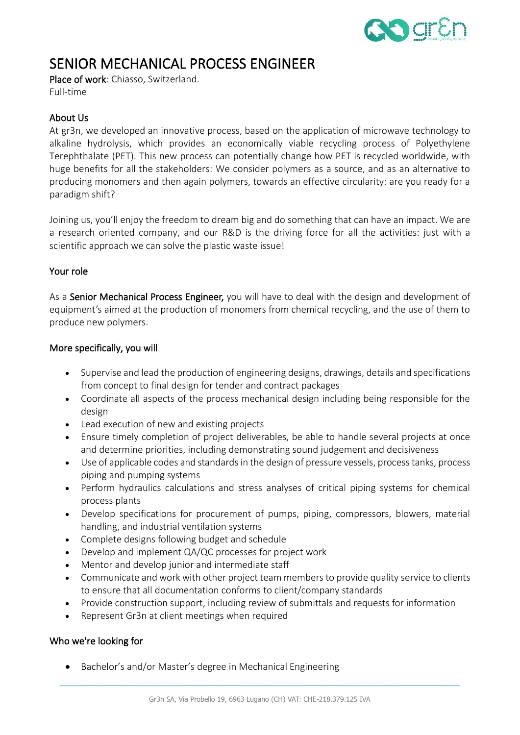

# SENIOR MECHANICAL PROCESS ENGINEER

Place of work: Chiasso, Switzerland.

Full-time

## About Us

At gr3n, we developed an innovative process, based on the application of microwave technology to alkaline hydrolysis, which provides an economically viable recycling process of Polyethylene Terephthalate (PET). This new process can potentially change how PET is recycled worldwide, with huge benefits for all the stakeholders: We consider polymers as a source, and as an alternative to producing monomers and then again polymers, towards an effective circularity: are you ready for a paradigm shift?

Joining us, you'll enjoy the freedom to dream big and do something that can have an impact. We are a research oriented company, and our R&D is the driving force for all the activities: just with a scientific approach we can solve the plastic waste issue!

### Your role

As a Senior Mechanical Process Engineer, you will have to deal with the design and development of equipment's aimed at the production of monomers from chemical recycling, and the use of them to produce new polymers.

### More specifically, you will

- Supervise and lead the production of engineering designs, drawings, details and specifications from concept to final design for tender and contract packages
- Coordinate all aspects of the process mechanical design including being responsible for the design
- Lead execution of new and existing projects
- Ensure timely completion of project deliverables, be able to handle several projects at once and determine priorities, including demonstrating sound judgement and decisiveness
- Use of applicable codes and standards in the design of pressure vessels, process tanks, process piping and pumping systems
- Perform hydraulics calculations and stress analyses of critical piping systems for chemical process plants
- Develop specifications for procurement of pumps, piping, compressors, blowers, material handling, and industrial ventilation systems
- Complete designs following budget and schedule
- Develop and implement QA/QC processes for project work
- Mentor and develop junior and intermediate staff
- Communicate and work with other project team members to provide quality service to clients to ensure that all documentation conforms to client/company standards
- Provide construction support, including review of submittals and requests for information
- Represent Gr3n at client meetings when required

## Who we're looking for

• Bachelor's and/or Master's degree in Mechanical Engineering